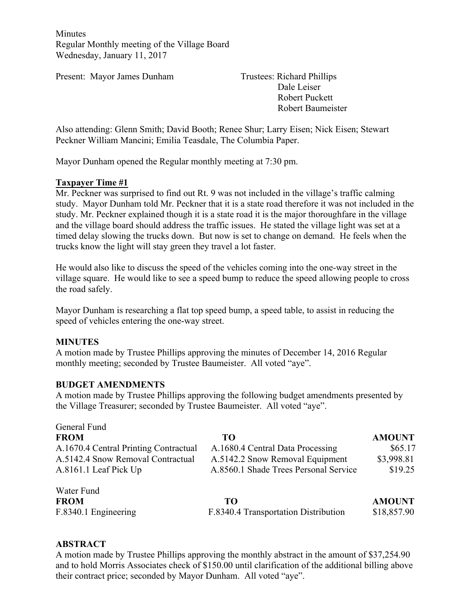Minutes Regular Monthly meeting of the Village Board Wednesday, January 11, 2017

Present: Mayor James Dunham Trustees: Richard Phillips

Dale Leiser Robert Puckett Robert Baumeister

Also attending: Glenn Smith; David Booth; Renee Shur; Larry Eisen; Nick Eisen; Stewart Peckner William Mancini; Emilia Teasdale, The Columbia Paper.

Mayor Dunham opened the Regular monthly meeting at 7:30 pm.

### **Taxpayer Time #1**

Mr. Peckner was surprised to find out Rt. 9 was not included in the village's traffic calming study. Mayor Dunham told Mr. Peckner that it is a state road therefore it was not included in the study. Mr. Peckner explained though it is a state road it is the major thoroughfare in the village and the village board should address the traffic issues. He stated the village light was set at a timed delay slowing the trucks down. But now is set to change on demand. He feels when the trucks know the light will stay green they travel a lot faster.

He would also like to discuss the speed of the vehicles coming into the one-way street in the village square. He would like to see a speed bump to reduce the speed allowing people to cross the road safely.

Mayor Dunham is researching a flat top speed bump, a speed table, to assist in reducing the speed of vehicles entering the one-way street.

### **MINUTES**

A motion made by Trustee Phillips approving the minutes of December 14, 2016 Regular monthly meeting; seconded by Trustee Baumeister. All voted "aye".

### **BUDGET AMENDMENTS**

A motion made by Trustee Phillips approving the following budget amendments presented by the Village Treasurer; seconded by Trustee Baumeister. All voted "aye".

| General Fund                          |                                       |               |
|---------------------------------------|---------------------------------------|---------------|
| <b>FROM</b>                           | TО                                    | <b>AMOUNT</b> |
| A.1670.4 Central Printing Contractual | A.1680.4 Central Data Processing      | \$65.17       |
| A.5142.4 Snow Removal Contractual     | A.5142.2 Snow Removal Equipment       | \$3,998.81    |
| A.8161.1 Leaf Pick Up                 | A.8560.1 Shade Trees Personal Service | \$19.25       |
| Water Fund                            |                                       |               |
| <b>FROM</b>                           | TО                                    | <b>AMOUNT</b> |
| F.8340.1 Engineering                  | F.8340.4 Transportation Distribution  | \$18,857.90   |

### **ABSTRACT**

A motion made by Trustee Phillips approving the monthly abstract in the amount of \$37,254.90 and to hold Morris Associates check of \$150.00 until clarification of the additional billing above their contract price; seconded by Mayor Dunham. All voted "aye".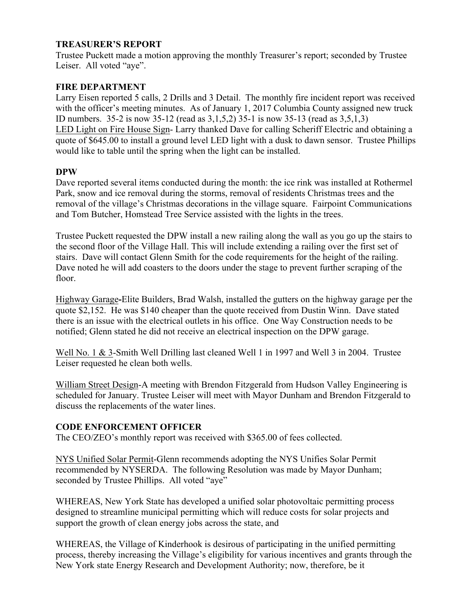### **TREASURER'S REPORT**

Trustee Puckett made a motion approving the monthly Treasurer's report; seconded by Trustee Leiser. All voted "aye".

### **FIRE DEPARTMENT**

Larry Eisen reported 5 calls, 2 Drills and 3 Detail. The monthly fire incident report was received with the officer's meeting minutes. As of January 1, 2017 Columbia County assigned new truck ID numbers. 35-2 is now 35-12 (read as 3,1,5,2) 35-1 is now 35-13 (read as 3,5,1,3) LED Light on Fire House Sign- Larry thanked Dave for calling Scheriff Electric and obtaining a quote of \$645.00 to install a ground level LED light with a dusk to dawn sensor. Trustee Phillips would like to table until the spring when the light can be installed.

### **DPW**

Dave reported several items conducted during the month: the ice rink was installed at Rothermel Park, snow and ice removal during the storms, removal of residents Christmas trees and the removal of the village's Christmas decorations in the village square. Fairpoint Communications and Tom Butcher, Homstead Tree Service assisted with the lights in the trees.

Trustee Puckett requested the DPW install a new railing along the wall as you go up the stairs to the second floor of the Village Hall. This will include extending a railing over the first set of stairs. Dave will contact Glenn Smith for the code requirements for the height of the railing. Dave noted he will add coasters to the doors under the stage to prevent further scraping of the floor.

Highway Garage**-**Elite Builders, Brad Walsh, installed the gutters on the highway garage per the quote \$2,152. He was \$140 cheaper than the quote received from Dustin Winn. Dave stated there is an issue with the electrical outlets in his office. One Way Construction needs to be notified; Glenn stated he did not receive an electrical inspection on the DPW garage.

Well No. 1 & 3-Smith Well Drilling last cleaned Well 1 in 1997 and Well 3 in 2004. Trustee Leiser requested he clean both wells.

William Street Design-A meeting with Brendon Fitzgerald from Hudson Valley Engineering is scheduled for January. Trustee Leiser will meet with Mayor Dunham and Brendon Fitzgerald to discuss the replacements of the water lines.

### **CODE ENFORCEMENT OFFICER**

The CEO/ZEO's monthly report was received with \$365.00 of fees collected.

NYS Unified Solar Permit-Glenn recommends adopting the NYS Unifies Solar Permit recommended by NYSERDA. The following Resolution was made by Mayor Dunham; seconded by Trustee Phillips. All voted "aye"

WHEREAS, New York State has developed a unified solar photovoltaic permitting process designed to streamline municipal permitting which will reduce costs for solar projects and support the growth of clean energy jobs across the state, and

WHEREAS, the Village of Kinderhook is desirous of participating in the unified permitting process, thereby increasing the Village's eligibility for various incentives and grants through the New York state Energy Research and Development Authority; now, therefore, be it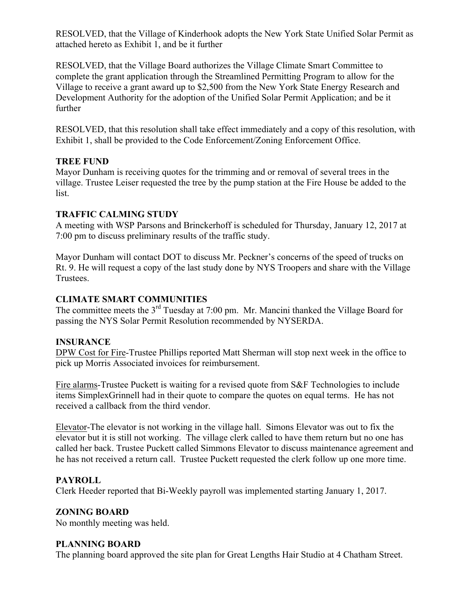RESOLVED, that the Village of Kinderhook adopts the New York State Unified Solar Permit as attached hereto as Exhibit 1, and be it further

RESOLVED, that the Village Board authorizes the Village Climate Smart Committee to complete the grant application through the Streamlined Permitting Program to allow for the Village to receive a grant award up to \$2,500 from the New York State Energy Research and Development Authority for the adoption of the Unified Solar Permit Application; and be it further

RESOLVED, that this resolution shall take effect immediately and a copy of this resolution, with Exhibit 1, shall be provided to the Code Enforcement/Zoning Enforcement Office.

## **TREE FUND**

Mayor Dunham is receiving quotes for the trimming and or removal of several trees in the village. Trustee Leiser requested the tree by the pump station at the Fire House be added to the list.

## **TRAFFIC CALMING STUDY**

A meeting with WSP Parsons and Brinckerhoff is scheduled for Thursday, January 12, 2017 at 7:00 pm to discuss preliminary results of the traffic study.

Mayor Dunham will contact DOT to discuss Mr. Peckner's concerns of the speed of trucks on Rt. 9. He will request a copy of the last study done by NYS Troopers and share with the Village Trustees.

# **CLIMATE SMART COMMUNITIES**

The committee meets the  $3<sup>rd</sup>$  Tuesday at 7:00 pm. Mr. Mancini thanked the Village Board for passing the NYS Solar Permit Resolution recommended by NYSERDA.

## **INSURANCE**

DPW Cost for Fire-Trustee Phillips reported Matt Sherman will stop next week in the office to pick up Morris Associated invoices for reimbursement.

Fire alarms-Trustee Puckett is waiting for a revised quote from S&F Technologies to include items SimplexGrinnell had in their quote to compare the quotes on equal terms. He has not received a callback from the third vendor.

Elevator-The elevator is not working in the village hall. Simons Elevator was out to fix the elevator but it is still not working. The village clerk called to have them return but no one has called her back. Trustee Puckett called Simmons Elevator to discuss maintenance agreement and he has not received a return call. Trustee Puckett requested the clerk follow up one more time.

# **PAYROLL**

Clerk Heeder reported that Bi-Weekly payroll was implemented starting January 1, 2017.

## **ZONING BOARD**

No monthly meeting was held.

## **PLANNING BOARD**

The planning board approved the site plan for Great Lengths Hair Studio at 4 Chatham Street.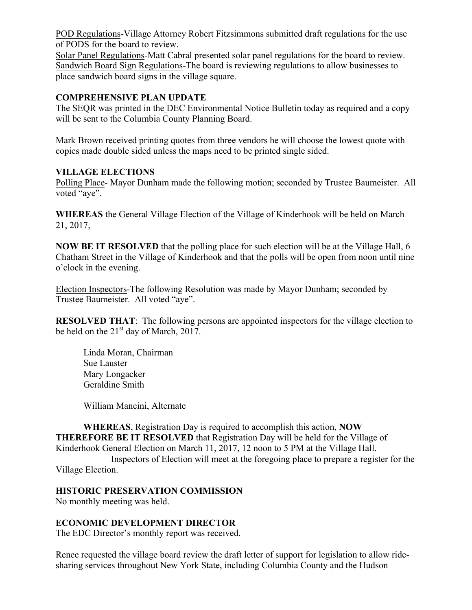POD Regulations-Village Attorney Robert Fitzsimmons submitted draft regulations for the use of PODS for the board to review.

Solar Panel Regulations-Matt Cabral presented solar panel regulations for the board to review. Sandwich Board Sign Regulations-The board is reviewing regulations to allow businesses to place sandwich board signs in the village square.

## **COMPREHENSIVE PLAN UPDATE**

The SEQR was printed in the DEC Environmental Notice Bulletin today as required and a copy will be sent to the Columbia County Planning Board.

Mark Brown received printing quotes from three vendors he will choose the lowest quote with copies made double sided unless the maps need to be printed single sided.

## **VILLAGE ELECTIONS**

Polling Place- Mayor Dunham made the following motion; seconded by Trustee Baumeister. All voted "aye".

**WHEREAS** the General Village Election of the Village of Kinderhook will be held on March 21, 2017,

**NOW BE IT RESOLVED** that the polling place for such election will be at the Village Hall, 6 Chatham Street in the Village of Kinderhook and that the polls will be open from noon until nine o'clock in the evening.

Election Inspectors-The following Resolution was made by Mayor Dunham; seconded by Trustee Baumeister. All voted "aye".

**RESOLVED THAT:** The following persons are appointed inspectors for the village election to be held on the  $21<sup>st</sup>$  day of March, 2017.

Linda Moran, Chairman Sue Lauster Mary Longacker Geraldine Smith

William Mancini, Alternate

**WHEREAS**, Registration Day is required to accomplish this action, **NOW THEREFORE BE IT RESOLVED** that Registration Day will be held for the Village of Kinderhook General Election on March 11, 2017, 12 noon to 5 PM at the Village Hall.

Inspectors of Election will meet at the foregoing place to prepare a register for the Village Election.

# **HISTORIC PRESERVATION COMMISSION**

No monthly meeting was held.

# **ECONOMIC DEVELOPMENT DIRECTOR**

The EDC Director's monthly report was received.

Renee requested the village board review the draft letter of support for legislation to allow ridesharing services throughout New York State, including Columbia County and the Hudson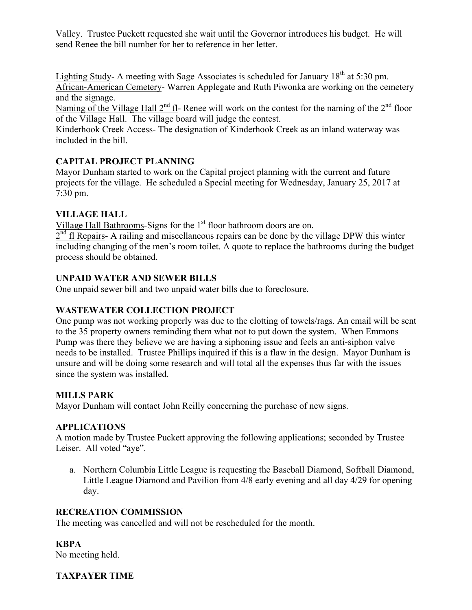Valley. Trustee Puckett requested she wait until the Governor introduces his budget. He will send Renee the bill number for her to reference in her letter.

Lighting Study- A meeting with Sage Associates is scheduled for January  $18<sup>th</sup>$  at 5:30 pm. African-American Cemetery- Warren Applegate and Ruth Piwonka are working on the cemetery and the signage.

Naming of the Village Hall  $2^{nd}$  fl- Renee will work on the contest for the naming of the  $2^{nd}$  floor of the Village Hall. The village board will judge the contest.

Kinderhook Creek Access- The designation of Kinderhook Creek as an inland waterway was included in the bill.

# **CAPITAL PROJECT PLANNING**

Mayor Dunham started to work on the Capital project planning with the current and future projects for the village. He scheduled a Special meeting for Wednesday, January 25, 2017 at 7:30 pm.

# **VILLAGE HALL**

Village Hall Bathrooms-Signs for the 1<sup>st</sup> floor bathroom doors are on.

 $2<sup>nd</sup>$  fl Repairs- A railing and miscellaneous repairs can be done by the village DPW this winter including changing of the men's room toilet. A quote to replace the bathrooms during the budget process should be obtained.

# **UNPAID WATER AND SEWER BILLS**

One unpaid sewer bill and two unpaid water bills due to foreclosure.

# **WASTEWATER COLLECTION PROJECT**

One pump was not working properly was due to the clotting of towels/rags. An email will be sent to the 35 property owners reminding them what not to put down the system. When Emmons Pump was there they believe we are having a siphoning issue and feels an anti-siphon valve needs to be installed. Trustee Phillips inquired if this is a flaw in the design. Mayor Dunham is unsure and will be doing some research and will total all the expenses thus far with the issues since the system was installed.

# **MILLS PARK**

Mayor Dunham will contact John Reilly concerning the purchase of new signs.

# **APPLICATIONS**

A motion made by Trustee Puckett approving the following applications; seconded by Trustee Leiser. All voted "aye".

a. Northern Columbia Little League is requesting the Baseball Diamond, Softball Diamond, Little League Diamond and Pavilion from 4/8 early evening and all day 4/29 for opening day.

# **RECREATION COMMISSION**

The meeting was cancelled and will not be rescheduled for the month.

# **KBPA**

No meeting held.

# **TAXPAYER TIME**